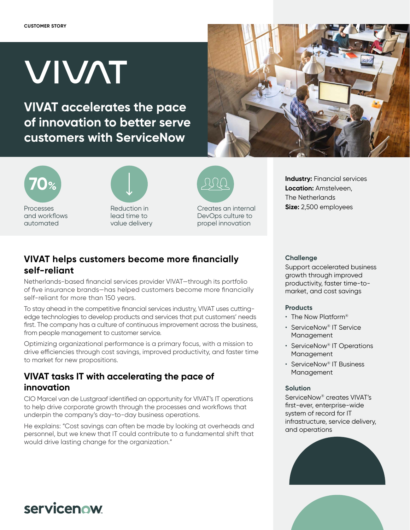# **VIVAT**

**VIVAT accelerates the pace of innovation to better serve customers with ServiceNow**







Reduction in lead time to value delivery



Creates an internal DevOps culture to propel innovation

**Industry: Financial services Location:** Amstelveen, The Netherlands **Size:** 2,500 employees

#### **VIVAT helps customers become more financially self-reliant**

Netherlands-based financial services provider VIVAT—through its portfolio of five insurance brands—has helped customers become more financially self-reliant for more than 150 years.

To stay ahead in the competitive financial services industry, VIVAT uses cuttingedge technologies to develop products and services that put customers' needs first. The company has a culture of continuous improvement across the business, from people management to customer service.

Optimizing organizational performance is a primary focus, with a mission to drive efficiencies through cost savings, improved productivity, and faster time to market for new propositions.

## **VIVAT tasks IT with accelerating the pace of innovation**

CIO Marcel van de Lustgraaf identified an opportunity for VIVAT's IT operations to help drive corporate growth through the processes and workflows that underpin the company's day-to-day business operations.

He explains: "Cost savings can often be made by looking at overheads and personnel, but we knew that IT could contribute to a fundamental shift that would drive lasting change for the organization."

#### **Challenge**

Support accelerated business growth through improved productivity, faster time-tomarket, and cost savings

#### **Products**

- The Now Platform®
- ServiceNow® IT Service Management
- ServiceNow® IT Operations Management
- ServiceNow® IT Business Management

#### **Solution**

ServiceNow® creates VIVAT's first-ever, enterprise-wide system of record for IT infrastructure, service delivery, and operations





# servicenow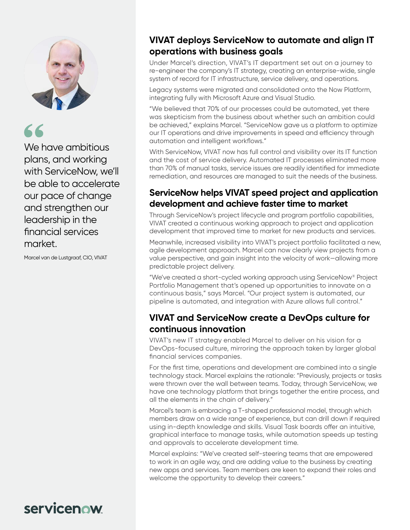

We have ambitious plans, and working with ServiceNow, we'll be able to accelerate our pace of change and strengthen our leadership in the financial services market.

Marcel van de Lustgraaf, CIO, VIVAT

### **VIVAT deploys ServiceNow to automate and align IT operations with business goals**

Under Marcel's direction, VIVAT's IT department set out on a journey to re-engineer the company's IT strategy, creating an enterprise-wide, single system of record for IT infrastructure, service delivery, and operations.

Legacy systems were migrated and consolidated onto the Now Platform, integrating fully with Microsoft Azure and Visual Studio.

"We believed that 70% of our processes could be automated, yet there was skepticism from the business about whether such an ambition could be achieved," explains Marcel. "ServiceNow gave us a platform to optimize our IT operations and drive improvements in speed and efficiency through automation and intelligent workflows."

With ServiceNow, VIVAT now has full control and visibility over its IT function and the cost of service delivery. Automated IT processes eliminated more than 70% of manual tasks, service issues are readily identified for immediate remediation, and resources are managed to suit the needs of the business.

#### **ServiceNow helps VIVAT speed project and application development and achieve faster time to market**

Through ServiceNow's project lifecycle and program portfolio capabilities, VIVAT created a continuous working approach to project and application development that improved time to market for new products and services.

Meanwhile, increased visibility into VIVAT's project portfolio facilitated a new, agile development approach. Marcel can now clearly view projects from a value perspective, and gain insight into the velocity of work—allowing more predictable project delivery.

"We've created a short-cycled working approach using ServiceNow® Project Portfolio Management that's opened up opportunities to innovate on a continuous basis," says Marcel. "Our project system is automated, our pipeline is automated, and integration with Azure allows full control."

#### **VIVAT and ServiceNow create a DevOps culture for continuous innovation**

VIVAT's new IT strategy enabled Marcel to deliver on his vision for a DevOps-focused culture, mirroring the approach taken by larger global financial services companies.

For the first time, operations and development are combined into a single technology stack. Marcel explains the rationale: "Previously, projects or tasks were thrown over the wall between teams. Today, through ServiceNow, we have one technology platform that brings together the entire process, and all the elements in the chain of delivery."

Marcel's team is embracing a T-shaped professional model, through which members draw on a wide range of experience, but can drill down if required using in-depth knowledge and skills. Visual Task boards offer an intuitive, graphical interface to manage tasks, while automation speeds up testing and approvals to accelerate development time.

Marcel explains: "We've created self-steering teams that are empowered to work in an agile way, and are adding value to the business by creating new apps and services. Team members are keen to expand their roles and welcome the opportunity to develop their careers."

# servicenow